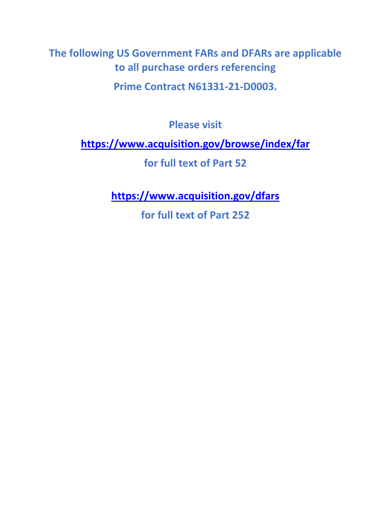**The following US Government FARs and DFARs are applicable to all purchase orders referencing**

**Prime Contract N61331-21-D0003.**

**Please visit**

**<https://www.acquisition.gov/browse/index/far>**

**for full text of Part 52**

**<https://www.acquisition.gov/dfars>**

**for full text of Part 252**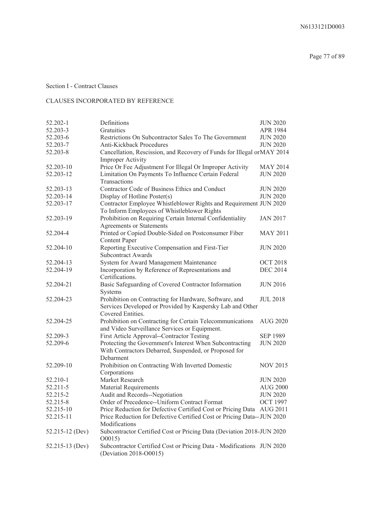### Section I - Contract Clauses

## CLAUSES INCORPORATED BY REFERENCE

| Definitions                                                                                                                              | <b>JUN 2020</b>                                                                                                                                                                                                                                                                                                                                  |
|------------------------------------------------------------------------------------------------------------------------------------------|--------------------------------------------------------------------------------------------------------------------------------------------------------------------------------------------------------------------------------------------------------------------------------------------------------------------------------------------------|
| Gratuities                                                                                                                               | <b>APR 1984</b>                                                                                                                                                                                                                                                                                                                                  |
|                                                                                                                                          | <b>JUN 2020</b>                                                                                                                                                                                                                                                                                                                                  |
| <b>Anti-Kickback Procedures</b>                                                                                                          | <b>JUN 2020</b>                                                                                                                                                                                                                                                                                                                                  |
| Cancellation, Rescission, and Recovery of Funds for Illegal orMAY 2014                                                                   |                                                                                                                                                                                                                                                                                                                                                  |
| Price Or Fee Adjustment For Illegal Or Improper Activity                                                                                 | <b>MAY 2014</b>                                                                                                                                                                                                                                                                                                                                  |
| Limitation On Payments To Influence Certain Federal<br>Transactions                                                                      | <b>JUN 2020</b>                                                                                                                                                                                                                                                                                                                                  |
| Contractor Code of Business Ethics and Conduct                                                                                           | <b>JUN 2020</b>                                                                                                                                                                                                                                                                                                                                  |
| Display of Hotline Poster(s)                                                                                                             | <b>JUN 2020</b>                                                                                                                                                                                                                                                                                                                                  |
| Contractor Employee Whistleblower Rights and Requirement JUN 2020<br>To Inform Employees of Whistleblower Rights                         |                                                                                                                                                                                                                                                                                                                                                  |
| Prohibition on Requiring Certain Internal Confidentiality<br><b>Agreements or Statements</b>                                             | <b>JAN 2017</b>                                                                                                                                                                                                                                                                                                                                  |
| Printed or Copied Double-Sided on Postconsumer Fiber<br><b>Content Paper</b>                                                             | <b>MAY 2011</b>                                                                                                                                                                                                                                                                                                                                  |
| Reporting Executive Compensation and First-Tier<br><b>Subcontract Awards</b>                                                             | <b>JUN 2020</b>                                                                                                                                                                                                                                                                                                                                  |
| System for Award Management Maintenance                                                                                                  | <b>OCT 2018</b>                                                                                                                                                                                                                                                                                                                                  |
| Certifications.                                                                                                                          | <b>DEC 2014</b>                                                                                                                                                                                                                                                                                                                                  |
| Basic Safeguarding of Covered Contractor Information<br>Systems                                                                          | <b>JUN 2016</b>                                                                                                                                                                                                                                                                                                                                  |
| Prohibition on Contracting for Hardware, Software, and<br>Services Developed or Provided by Kaspersky Lab and Other<br>Covered Entities. | <b>JUL 2018</b>                                                                                                                                                                                                                                                                                                                                  |
| Prohibition on Contracting for Certain Telecommunications                                                                                | <b>AUG 2020</b>                                                                                                                                                                                                                                                                                                                                  |
|                                                                                                                                          | <b>SEP 1989</b>                                                                                                                                                                                                                                                                                                                                  |
| Protecting the Government's Interest When Subcontracting<br>With Contractors Debarred, Suspended, or Proposed for<br>Debarment           | <b>JUN 2020</b>                                                                                                                                                                                                                                                                                                                                  |
| Prohibition on Contracting With Inverted Domestic<br>Corporations                                                                        | <b>NOV 2015</b>                                                                                                                                                                                                                                                                                                                                  |
| Market Research                                                                                                                          | <b>JUN 2020</b>                                                                                                                                                                                                                                                                                                                                  |
| <b>Material Requirements</b>                                                                                                             | <b>AUG 2000</b>                                                                                                                                                                                                                                                                                                                                  |
|                                                                                                                                          | <b>JUN 2020</b>                                                                                                                                                                                                                                                                                                                                  |
| Order of Precedence--Uniform Contract Format                                                                                             | <b>OCT 1997</b>                                                                                                                                                                                                                                                                                                                                  |
|                                                                                                                                          |                                                                                                                                                                                                                                                                                                                                                  |
| Price Reduction for Defective Certified Cost or Pricing Data--JUN 2020<br>Modifications                                                  |                                                                                                                                                                                                                                                                                                                                                  |
| Subcontractor Certified Cost or Pricing Data (Deviation 2018-JUN 2020<br>00015                                                           |                                                                                                                                                                                                                                                                                                                                                  |
| Subcontractor Certified Cost or Pricing Data - Modifications JUN 2020<br>(Deviation 2018-O0015)                                          |                                                                                                                                                                                                                                                                                                                                                  |
|                                                                                                                                          | Restrictions On Subcontractor Sales To The Government<br><b>Improper Activity</b><br>Incorporation by Reference of Representations and<br>and Video Surveillance Services or Equipment.<br>First Article Approval--Contractor Testing<br>Audit and Records--Negotiation<br>Price Reduction for Defective Certified Cost or Pricing Data AUG 2011 |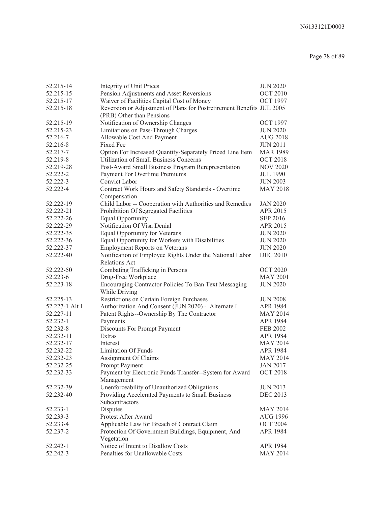# Page 78 of 89

| 52.215-14      | Integrity of Unit Prices                                              | <b>JUN 2020</b> |
|----------------|-----------------------------------------------------------------------|-----------------|
| 52.215-15      | Pension Adjustments and Asset Reversions                              | <b>OCT 2010</b> |
| 52.215-17      | Waiver of Facilities Capital Cost of Money                            | <b>OCT 1997</b> |
| 52.215-18      | Reversion or Adjustment of Plans for Postretirement Benefits JUL 2005 |                 |
|                | (PRB) Other than Pensions                                             |                 |
| 52.215-19      | Notification of Ownership Changes                                     | <b>OCT 1997</b> |
| 52.215-23      | Limitations on Pass-Through Charges                                   | <b>JUN 2020</b> |
| 52.216-7       | Allowable Cost And Payment                                            | <b>AUG 2018</b> |
| 52.216-8       | Fixed Fee                                                             | <b>JUN 2011</b> |
| 52.217-7       | Option For Increased Quantity-Separately Priced Line Item             | <b>MAR 1989</b> |
| 52.219-8       | <b>Utilization of Small Business Concerns</b>                         | <b>OCT 2018</b> |
| 52.219-28      | Post-Award Small Business Program Rerepresentation                    | <b>NOV 2020</b> |
| 52.222-2       | Payment For Overtime Premiums                                         | <b>JUL 1990</b> |
| 52.222-3       | Convict Labor                                                         | <b>JUN 2003</b> |
| 52.222-4       | Contract Work Hours and Safety Standards - Overtime                   | <b>MAY 2018</b> |
|                | Compensation                                                          |                 |
| 52.222-19      | Child Labor -- Cooperation with Authorities and Remedies              | <b>JAN 2020</b> |
| 52.222-21      | Prohibition Of Segregated Facilities                                  | APR 2015        |
| 52.222-26      | <b>Equal Opportunity</b>                                              | <b>SEP 2016</b> |
| 52.222-29      | Notification Of Visa Denial                                           | APR 2015        |
| 52.222-35      | <b>Equal Opportunity for Veterans</b>                                 | <b>JUN 2020</b> |
| 52.222-36      | Equal Opportunity for Workers with Disabilities                       | <b>JUN 2020</b> |
| 52.222-37      | <b>Employment Reports on Veterans</b>                                 | <b>JUN 2020</b> |
| 52.222-40      | Notification of Employee Rights Under the National Labor              | <b>DEC 2010</b> |
|                | <b>Relations Act</b>                                                  |                 |
| 52.222-50      | Combating Trafficking in Persons                                      | <b>OCT 2020</b> |
| 52.223-6       | Drug-Free Workplace                                                   | <b>MAY 2001</b> |
| 52.223-18      | Encouraging Contractor Policies To Ban Text Messaging                 | <b>JUN 2020</b> |
|                | While Driving                                                         |                 |
| 52.225-13      | Restrictions on Certain Foreign Purchases                             | <b>JUN 2008</b> |
| 52.227-1 Alt I | Authorization And Consent (JUN 2020) - Alternate I                    | APR 1984        |
| 52.227-11      | Patent Rights--Ownership By The Contractor                            | <b>MAY 2014</b> |
| 52.232-1       | Payments                                                              | APR 1984        |
| 52.232-8       | Discounts For Prompt Payment                                          | <b>FEB 2002</b> |
| 52.232-11      | Extras                                                                | APR 1984        |
| 52.232-17      | Interest                                                              | <b>MAY 2014</b> |
| 52.232-22      | <b>Limitation Of Funds</b>                                            | APR 1984        |
| 52.232-23      | Assignment Of Claims                                                  | <b>MAY 2014</b> |
| 52.232-25      | Prompt Payment                                                        | <b>JAN 2017</b> |
| 52.232-33      | Payment by Electronic Funds Transfer--System for Award                | <b>OCT 2018</b> |
|                | Management                                                            |                 |
| 52.232-39      | Unenforceability of Unauthorized Obligations                          | <b>JUN 2013</b> |
| 52.232-40      | Providing Accelerated Payments to Small Business                      | <b>DEC 2013</b> |
|                | Subcontractors                                                        |                 |
| 52.233-1       | Disputes                                                              | <b>MAY 2014</b> |
| 52.233-3       | Protest After Award                                                   | AUG 1996        |
| 52.233-4       | Applicable Law for Breach of Contract Claim                           | <b>OCT 2004</b> |
| 52.237-2       | Protection Of Government Buildings, Equipment, And                    | APR 1984        |
|                | Vegetation                                                            |                 |
| 52.242-1       | Notice of Intent to Disallow Costs                                    | APR 1984        |
| 52.242-3       | Penalties for Unallowable Costs                                       | <b>MAY 2014</b> |
|                |                                                                       |                 |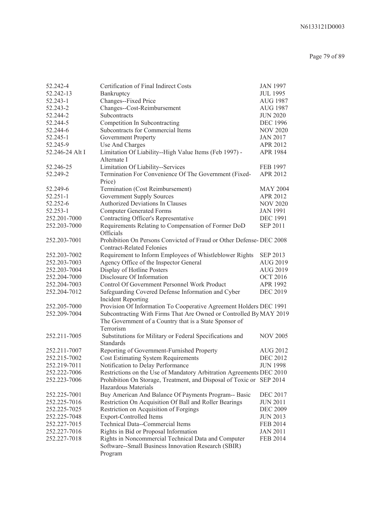| 52.242-4        | Certification of Final Indirect Costs                                        | <b>JAN 1997</b> |
|-----------------|------------------------------------------------------------------------------|-----------------|
| 52.242-13       | Bankruptcy                                                                   | <b>JUL 1995</b> |
| 52.243-1        | Changes--Fixed Price                                                         | <b>AUG 1987</b> |
| 52.243-2        | Changes--Cost-Reimbursement                                                  | <b>AUG 1987</b> |
| 52.244-2        | Subcontracts                                                                 | <b>JUN 2020</b> |
| 52.244-5        | Competition In Subcontracting                                                | <b>DEC 1996</b> |
| 52.244-6        | Subcontracts for Commercial Items                                            | <b>NOV 2020</b> |
| 52.245-1        | <b>Government Property</b>                                                   | <b>JAN 2017</b> |
| 52.245-9        | Use And Charges                                                              | APR 2012        |
| 52.246-24 Alt I | Limitation Of Liability--High Value Items (Feb 1997) -                       | APR 1984        |
|                 | Alternate I                                                                  |                 |
| 52.246-25       | Limitation Of Liability--Services                                            | <b>FEB 1997</b> |
| 52.249-2        | Termination For Convenience Of The Government (Fixed-                        | APR 2012        |
|                 | Price)                                                                       |                 |
| 52.249-6        | Termination (Cost Reimbursement)                                             | <b>MAY 2004</b> |
| $52.251 - 1$    | Government Supply Sources                                                    | APR 2012        |
| 52.252-6        | <b>Authorized Deviations In Clauses</b>                                      | <b>NOV 2020</b> |
| 52.253-1        | <b>Computer Generated Forms</b>                                              | <b>JAN 1991</b> |
| 252.201-7000    | Contracting Officer's Representative                                         | <b>DEC 1991</b> |
| 252.203-7000    | Requirements Relating to Compensation of Former DoD                          | <b>SEP 2011</b> |
|                 | Officials                                                                    |                 |
| 252.203-7001    | Prohibition On Persons Convicted of Fraud or Other Defense- DEC 2008         |                 |
|                 | <b>Contract-Related Felonies</b>                                             |                 |
| 252.203-7002    | Requirement to Inform Employees of Whistleblower Rights                      | <b>SEP 2013</b> |
| 252.203-7003    | Agency Office of the Inspector General                                       | <b>AUG 2019</b> |
| 252.203-7004    | Display of Hotline Posters                                                   | <b>AUG 2019</b> |
| 252.204-7000    | Disclosure Of Information                                                    | <b>OCT 2016</b> |
| 252.204-7003    | Control Of Government Personnel Work Product                                 | APR 1992        |
| 252.204-7012    | Safeguarding Covered Defense Information and Cyber                           | <b>DEC 2019</b> |
|                 | <b>Incident Reporting</b>                                                    |                 |
| 252.205-7000    | Provision Of Information To Cooperative Agreement Holders DEC 1991           |                 |
| 252.209-7004    | Subcontracting With Firms That Are Owned or Controlled By MAY 2019           |                 |
|                 | The Government of a Country that is a State Sponsor of                       |                 |
|                 | Terrorism                                                                    |                 |
| 252.211-7005    | Substitutions for Military or Federal Specifications and<br><b>Standards</b> | <b>NOV 2005</b> |
| 252.211-7007    | Reporting of Government-Furnished Property                                   | <b>AUG 2012</b> |
| 252.215-7002    | <b>Cost Estimating System Requirements</b>                                   | <b>DEC 2012</b> |
| 252.219-7011    | Notification to Delay Performance                                            | <b>JUN 1998</b> |
| 252.222-7006    | Restrictions on the Use of Mandatory Arbitration Agreements DEC 2010         |                 |
| 252.223-7006    | Prohibition On Storage, Treatment, and Disposal of Toxic or SEP 2014         |                 |
|                 | Hazardous Materials                                                          |                 |
| 252.225-7001    | Buy American And Balance Of Payments Program-- Basic                         | <b>DEC 2017</b> |
| 252.225-7016    | Restriction On Acquisition Of Ball and Roller Bearings                       | <b>JUN 2011</b> |
| 252.225-7025    | Restriction on Acquisition of Forgings                                       | <b>DEC 2009</b> |
| 252.225-7048    | <b>Export-Controlled Items</b>                                               | <b>JUN 2013</b> |
| 252.227-7015    | <b>Technical Data--Commercial Items</b>                                      | <b>FEB 2014</b> |
| 252.227-7016    | Rights in Bid or Proposal Information                                        | <b>JAN 2011</b> |
| 252.227-7018    | Rights in Noncommercial Technical Data and Computer                          | FEB 2014        |
|                 | Software--Small Business Innovation Research (SBIR)                          |                 |
|                 | Program                                                                      |                 |